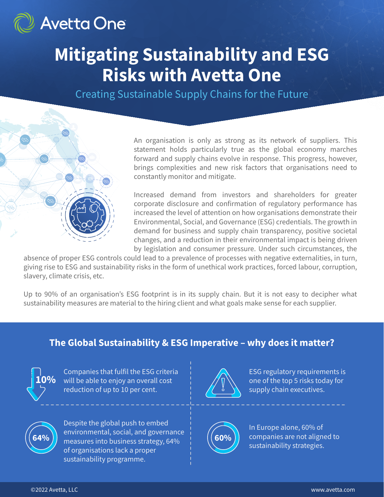

## **Mitigating Sustainability and ESG Risks with Avetta One**

Creating Sustainable Supply Chains for the Future



An organisation is only as strong as its network of suppliers. This statement holds particularly true as the global economy marches forward and supply chains evolve in response. This progress, however, brings complexities and new risk factors that organisations need to constantly monitor and mitigate.

Increased demand from investors and shareholders for greater corporate disclosure and confirmation of regulatory performance has increased the level of attention on how organisations demonstrate their Environmental, Social, and Governance (ESG) credentials. The growth in demand for business and supply chain transparency, positive societal changes, and a reduction in their environmental impact is being driven by legislation and consumer pressure. Under such circumstances, the

absence of proper ESG controls could lead to a prevalence of processes with negative externalities, in turn, giving rise to ESG and sustainability risks in the form of unethical work practices, forced labour, corruption, slavery, climate crisis, etc.

Up to 90% of an organisation's ESG footprint is in its supply chain. But it is not easy to decipher what sustainability measures are material to the hiring client and what goals make sense for each supplier.

### **The Global Sustainability & ESG Imperative – why does it matter?**



Companies that fulfil the ESG criteria will be able to enjoy an overall cost reduction of up to 10 per cent.



Despite the global push to embed environmental, social, and governance **64% h** easures into business strategy, 64%  $\begin{bmatrix} 60\% \end{bmatrix}$ of organisations lack a proper sustainability programme.



ESG regulatory requirements is one of the top 5 risks today for supply chain executives.



In Europe alone, 60% of companies are not aligned to sustainability strategies.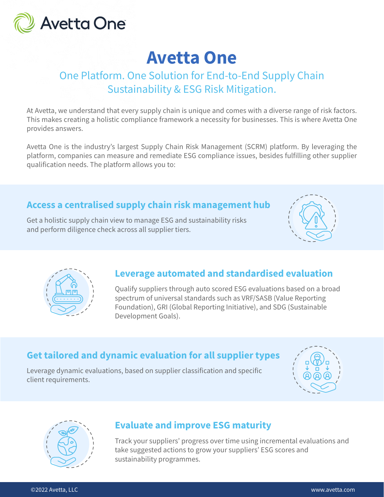

## **Avetta One**

## One Platform. One Solution for End-to-End Supply Chain Sustainability & ESG Risk Mitigation.

At Avetta, we understand that every supply chain is unique and comes with a diverse range of risk factors. This makes creating a holistic compliance framework a necessity for businesses. This is where Avetta One provides answers.

Avetta One is the industry's largest Supply Chain Risk Management (SCRM) platform. By leveraging the platform, companies can measure and remediate ESG compliance issues, besides fulfilling other supplier qualification needs. The platform allows you to:

### **Access a centralised supply chain risk management hub**

Get a holistic supply chain view to manage ESG and sustainability risks and perform diligence check across all supplier tiers.





### **Leverage automated and standardised evaluation**

Qualify suppliers through auto scored ESG evaluations based on a broad spectrum of universal standards such as VRF/SASB (Value Reporting Foundation), GRI (Global Reporting Initiative), and SDG (Sustainable Development Goals).

## **Get tailored and dynamic evaluation for all supplier types**

Leverage dynamic evaluations, based on supplier classification and specific client requirements.





### **Evaluate and improve ESG maturity**

Track your suppliers' progress over time using incremental evaluations and take suggested actions to grow your suppliers' ESG scores and sustainability programmes.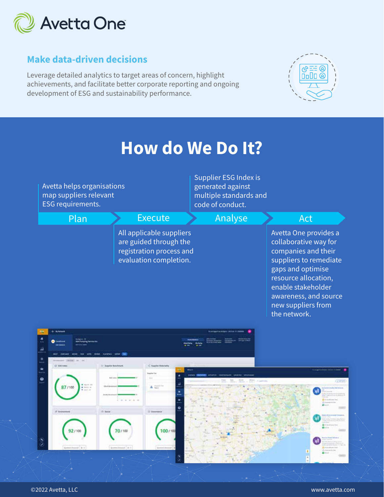

## **Make data-driven decisions**

Leverage detailed analytics to target areas of concern, highlight achievements, and facilitate better corporate reporting and ongoing development of ESG and sustainability performance.



## **How do We Do It?**

| Avetta helps organisations<br>map suppliers relevant<br>ESG requirements. |                                                                                                          | Supplier ESG Index is<br>generated against<br>multiple standards and<br>code of conduct. |                                                                                                                                                                                                                                   |
|---------------------------------------------------------------------------|----------------------------------------------------------------------------------------------------------|------------------------------------------------------------------------------------------|-----------------------------------------------------------------------------------------------------------------------------------------------------------------------------------------------------------------------------------|
| Plan                                                                      | <b>Execute</b>                                                                                           | Analyse                                                                                  | Act                                                                                                                                                                                                                               |
|                                                                           | All applicable suppliers<br>are guided through the<br>registration process and<br>evaluation completion. |                                                                                          | Avetta One provides a<br>collaborative way for<br>companies and their<br>suppliers to remediate<br>gaps and optimise<br>resource allocation,<br>enable stakeholder<br>awareness, and source<br>new suppliers from<br>the network. |

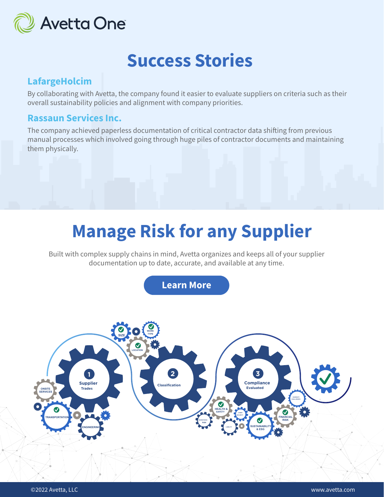

## **Success Stories**

#### **LafargeHolcim**

By collaborating with Avetta, the company found it easier to evaluate suppliers on criteria such as their overall sustainability policies and alignment with company priorities.

#### **Rassaun Services Inc.**

The company achieved paperless documentation of critical contractor data shifting from previous manual processes which involved going through huge piles of contractor documents and maintaining them physically.

# **Manage Risk for any Supplier**

**Manage risk for any supplier** Built with complex supply chains in mind, Avetta organizes and keeps all of your supplier documentation up to date, accurate, and available at any time.

of your supplier documentation up to date, and available at any time. The angle at any time. The angle at any time  $\alpha$ 

Built with complex supply chains in mind, Avetta organizes and keeps all